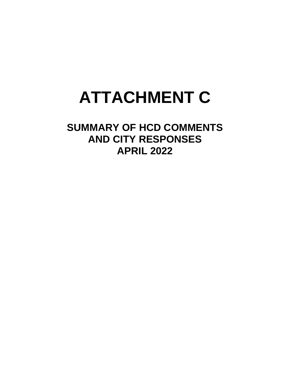## **ATTACHMENT C**

**SUMMARY OF HCD COMMENTS AND CITY RESPONSES APRIL 2022**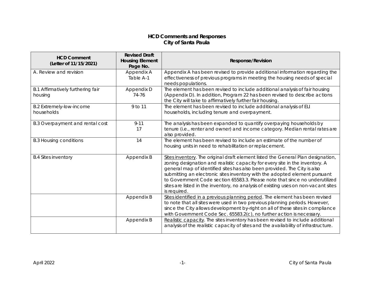## **HCD Comments and Responses City of Santa Paula**

| <b>HCD Comment</b><br>(Letter of 11/15/2021)  | <b>Revised Draft</b><br><b>Housing Element</b><br>Page No. | <b>Response/Revision</b>                                                                                                                                                                                                                                                                                                                                                                                                                                                                                         |
|-----------------------------------------------|------------------------------------------------------------|------------------------------------------------------------------------------------------------------------------------------------------------------------------------------------------------------------------------------------------------------------------------------------------------------------------------------------------------------------------------------------------------------------------------------------------------------------------------------------------------------------------|
| A. Review and revision                        | Appendix A<br>Table A-1                                    | Appendix A has been revised to provide additional information regarding the<br>effectiveness of previous programs in meeting the housing needs of special<br>needs populations.                                                                                                                                                                                                                                                                                                                                  |
| B.1 Affirmatively furthering fair<br>housing  | Appendix D<br>74-76                                        | The element has been revised to include additional analysis of fair housing<br>(Appendix D). In addition, Program 22 has been revised to describe actions<br>the City will take to affirmatively further fair housing.                                                                                                                                                                                                                                                                                           |
| <b>B.2 Extremely-low-income</b><br>households | 9 to 11                                                    | The element has been revised to include additional analysis of ELI<br>households, including tenure and overpayment.                                                                                                                                                                                                                                                                                                                                                                                              |
| B.3 Overpayment and rental cost               | $9 - 11$<br>17                                             | The analysis has been expanded to quantify overpaying households by<br>tenure (i.e., renter and owner) and income category. Median rental rates are<br>also provided                                                                                                                                                                                                                                                                                                                                             |
| <b>B.3 Housing conditions</b>                 | 14                                                         | The element has been revised to include an estimate of the number of<br>housing units in need to rehabilitation or replacement.                                                                                                                                                                                                                                                                                                                                                                                  |
| <b>B.4 Sites inventory</b>                    | Appendix B                                                 | Sites inventory. The original draft element listed the General Plan designation,<br>zoning designation and realistic capacity for every site in the inventory. A<br>general map of identified sites has also been provided. The City is also<br>submitting an electronic sites inventory with the adopted element pursuant<br>to Government Code section 65583.3. Please note that since no underutilized<br>sites are listed in the inventory, no analysis of existing uses on non-vacant sites<br>is required. |
|                                               | Appendix B                                                 | Sites identified in a previous planning period. The element has been revised<br>to note that all sites were used in two previous planning periods. However,<br>since the City allows development by-right on all of these sites in compliance<br>with Government Code Sec. 65583.2(c), no further action is necessary.                                                                                                                                                                                           |
|                                               | Appendix B                                                 | Realistic capacity. The sites inventory has been revised to include additional<br>analysis of the realistic capacity of sites and the availability of infrastructure.                                                                                                                                                                                                                                                                                                                                            |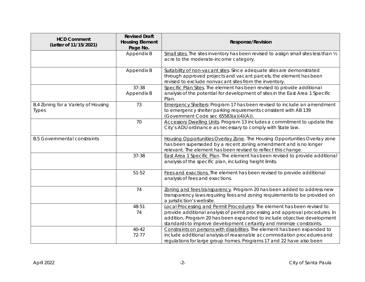| <b>HCD Comment</b><br>(Letter of 11/15/2021)        | <b>Revised Draft</b><br><b>Housing Element</b><br>Page No. | <b>Response/Revision</b>                                                                                                                                                                                                                                                                                   |
|-----------------------------------------------------|------------------------------------------------------------|------------------------------------------------------------------------------------------------------------------------------------------------------------------------------------------------------------------------------------------------------------------------------------------------------------|
|                                                     | Appendix B                                                 | Small sites. The sites inventory has been revised to assign small sites less than 1/2<br>acre to the moderate-income category.                                                                                                                                                                             |
|                                                     | Appendix B                                                 | Suitability of non-vacant sites. Since adequate sites are demonstrated<br>through approved projects and vacant parcels, the element has been<br>revised to exclude nonvacant sites from the inventory.                                                                                                     |
|                                                     | 37-38<br>Appendix B                                        | Specific Plan Sites. The element has been revised to provide additional<br>analysis of the potential for development of sites in the East Area 1 Specific<br>Plan.                                                                                                                                         |
| B.4 Zoning for a Variety of Housing<br><b>Types</b> | 73                                                         | <b>Emergency Shelters: Program 17 has been revised to include an amendment</b><br>to emergency shelter parking requirements consistent with AB 139<br>(Government Code sec 65583(a)(4)(A)).                                                                                                                |
|                                                     | 70                                                         | Accessory Dwelling Units. Program 13 includes a commitment to update the<br>City's ADU ordinance as necessary to comply with State law.                                                                                                                                                                    |
| <b>B.5 Governmental constraints</b>                 |                                                            | Housing Opportunities Overlay Zone. The Housing Opportunities Overlay zone<br>has been superseded by a recent zoning amendment and is no longer<br>relevant. The element has been revised to reflect this change.                                                                                          |
|                                                     | 37-38                                                      | East Area 1 Specific Plan. The element has been revised to provide additional<br>analysis of the specific plan, including height limits.                                                                                                                                                                   |
|                                                     | 51-52                                                      | Fees and exactions. The element has been revised to provide additional<br>analysis of fees and exactions.                                                                                                                                                                                                  |
|                                                     | 74                                                         | Zoning and fees transparency. Program 20 has been added to address new<br>transparency laws requiring fees and zoning requirements to be provided on<br>a jurisdiction's website.                                                                                                                          |
|                                                     | 48-51<br>74                                                | Local Processing and Permit Procedures: The element has been revised to<br>provide additional analysis of permit processing and approval procedures. In<br>addition, Program 20 has been expanded to include objective development<br>standards to improve development certainty and minimize constraints. |
|                                                     | $40 - 42$<br>72-77                                         | Constraints on persons with disabilities. The element has been expanded to<br>include additional analysis of reasonable accommodation procedures and<br>regulations for large group homes. Programs 17 and 22 have also been                                                                               |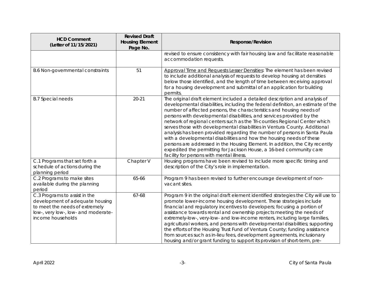| <b>HCD Comment</b><br>(Letter of 11/15/2021)                                                                                                                   | <b>Revised Draft</b><br><b>Housing Element</b><br>Page No. | <b>Response/Revision</b>                                                                                                                                                                                                                                                                                                                                                                                                                                                                                                                                                                                                                                                                                                                                                                                                             |
|----------------------------------------------------------------------------------------------------------------------------------------------------------------|------------------------------------------------------------|--------------------------------------------------------------------------------------------------------------------------------------------------------------------------------------------------------------------------------------------------------------------------------------------------------------------------------------------------------------------------------------------------------------------------------------------------------------------------------------------------------------------------------------------------------------------------------------------------------------------------------------------------------------------------------------------------------------------------------------------------------------------------------------------------------------------------------------|
|                                                                                                                                                                |                                                            | revised to ensure consistency with fair housing law and facilitate reasonable<br>accommodation requests.                                                                                                                                                                                                                                                                                                                                                                                                                                                                                                                                                                                                                                                                                                                             |
| <b>B.6 Non-governmental constraints</b>                                                                                                                        | 51                                                         | Approval Time and Requests Lesser Densities: The element has been revised<br>to include additional analysis of requests to develop housing at densities<br>below those identified, and the length of time between receiving approval<br>for a housing development and submittal of an application for building<br>permits.                                                                                                                                                                                                                                                                                                                                                                                                                                                                                                           |
| <b>B.7 Special needs</b>                                                                                                                                       | $20 - 21$                                                  | The original draft element included a detailed description and analysis of<br>developmental disabilities, including the federal definition, an estimate of the<br>number of affected persons, the characteristics and housing needs of<br>persons with developmental disabilities, and services provided by the<br>network of regional centers such as the Tri-counties Regional Center which<br>serves those with developmental disabilities in Ventura County. Additional<br>analysis has been provided regarding the number of persons in Santa Paula<br>with a developmental disabilities and how the housing needs of these<br>persons are addressed in the Housing Element. In addition, the City recently<br>expedited the permitting for Jackson House, a 16-bed community care<br>facility for persons with mental illness. |
| C.1 Programs that set forth a<br>schedule of actions during the<br>planning period                                                                             | Chapter V                                                  | Housing programs have been revised to include more specific timing and<br>description of the City's role in implementation.                                                                                                                                                                                                                                                                                                                                                                                                                                                                                                                                                                                                                                                                                                          |
| C.2 Programs to make sites<br>available during the planning<br>period                                                                                          | 65-66                                                      | Program 9 has been revised to further encourage development of non-<br>vacant sites.                                                                                                                                                                                                                                                                                                                                                                                                                                                                                                                                                                                                                                                                                                                                                 |
| C.3 Programs to assist in the<br>development of adequate housing<br>to meet the needs of extremely<br>low-, very low-, low- and moderate-<br>income households | 67-68                                                      | Program 9 in the original draft element identified strategies the City will use to<br>promote lower-income housing development. These strategies include<br>financial and regulatory incentives to developers; focusing a portion of<br>assistance towards rental and ownership projects meeting the needs of<br>extremely-low-, very-low- and low-income renters, including large families,<br>agricultural workers, and persons with developmental disabilities; supporting<br>the efforts of the Housing Trust Fund of Ventura County; funding assistance<br>from sources such as in-lieu fees, development agreements, inclusionary<br>housing and/or grant funding to support its provision of short-term, pre-                                                                                                                 |